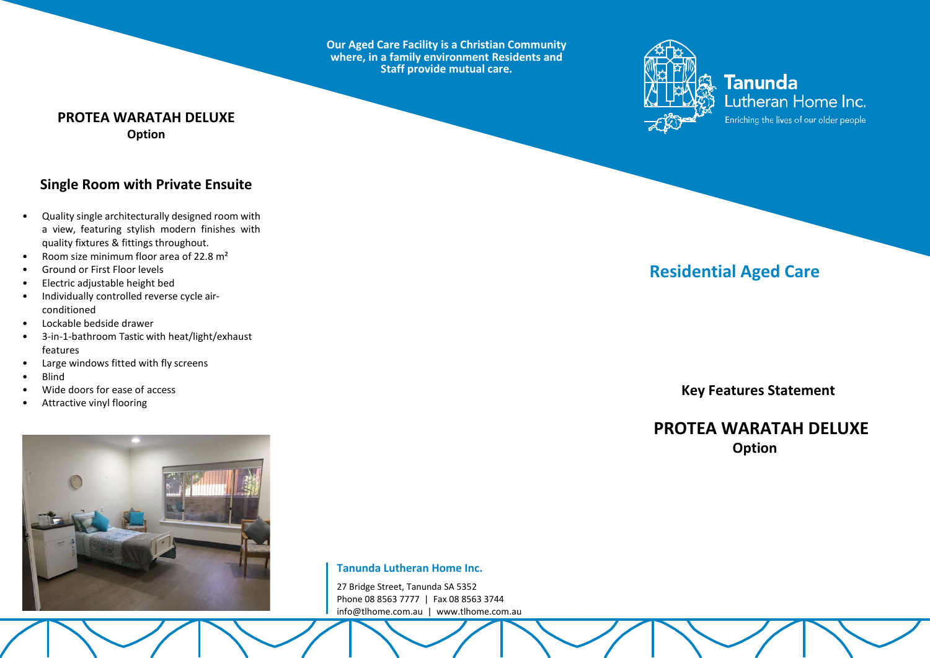**Our Aged Care Facility is a Christian Community where, in a family environment Residents and Staff provide mutual care.**



**Tanunda** Lutheran Home Inc. Enriching the lives of our older people

### **PROTEA WARATAH DELUXE Option**

## **Single Room with Private Ensuite**

- Quality single architecturally designed room with a view, featuring stylish modern finishes with quality fixtures & fittings throughout.
- Room size minimum floor area of 22.8 m²
- Ground or First Floor levels
- Electric adjustable height bed
- Individually controlled reverse cycle airconditioned
- Lockable bedside drawer
- 3-in-1-bathroom Tastic with heat/light/exhaust features
- Large windows fitted with fly screens
- Blind
- Wide doors for ease of access
- Attractive vinyl flooring



**Tanunda Lutheran Home Inc.**

27 Bridge Street, Tanunda SA 5352 Phone 08 8563 7777 | Fax 08 8563 3744 [info@tlhome.com.au](mailto:info@tlhome.com.au) | [www.tlhome.com.au](http://www.tlhome.com.au/)

# **Residential Aged Care**

 **Key Features Statement**

## **PROTEA WARATAH DELUXE Option**